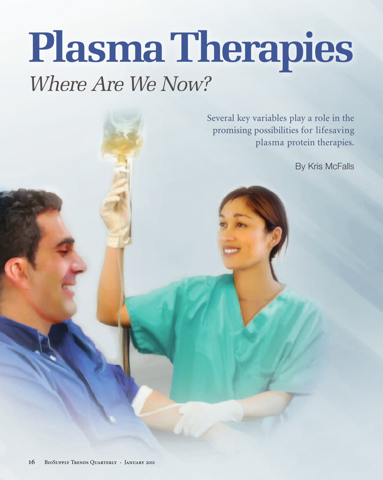# **PlasmaTherapies** *Where Are We Now?*

Several key variables play a role in the promising possibilities for lifesaving plasma protein therapies.

By Kris McFalls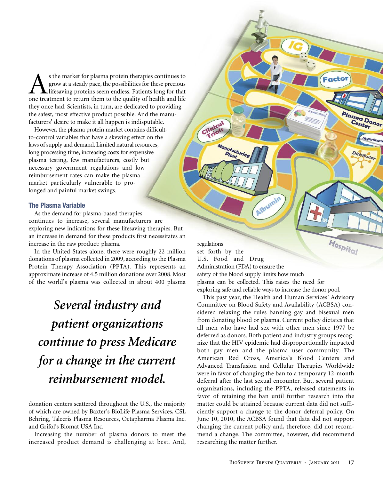s the market for plasma protein therapies continues to grow at a steady pace, the possibilities for these precious **L** lifesaving proteins seem endless. Patients long for that one treatment to return them to the quality of health and life they once had. Scientists, in turn, are dedicated to providing the safest, most effective product possible. And the manufacturers' desire to make it all happen is indisputable.

However, the plasma protein market contains difficultto-control variables that have a skewing effect on the laws of supply and demand. Limited natural resources, long processing time, increasing costs for expensive plasma testing, few manufacturers, costly but necessary government regulations and low reimbursement rates can make the plasma market particularly vulnerable to prolonged and painful market swings.

#### **The Plasma Variable**

As the demand for plasma-based therapies continues to increase, several manufacturers are exploring new indications for these lifesaving therapies. But an increase in demand for these products first necessitates an increase in the raw product: plasma.

In the United States alone, there were roughly 22 million donations of plasma collected in 2009, according to the Plasma Protein Therapy Association (PPTA). This represents an approximate increase of 4.5 million donations over 2008. Most of the world's plasma was collected in about 400 plasma

## *Several industry and patient organizations continue to press Medicare for a change in the current reimbursement model.*

donation centers scattered throughout the U.S., the majority of which are owned by Baxter's BioLife Plasma Services, CSL Behring, Talecris Plasma Resources, Octapharma Plasma Inc. and Grifol's Biomat USA Inc.

Increasing the number of plasma donors to meet the increased product demand is challenging at best. And,

Hospital regulations set forth by the U.S. Food and Drug Administration (FDA) to ensure the safety of the blood supply limits how much plasma can be collected. This raises the need for exploring safe and reliable ways to increase the donor pool.

Albumin

Clinical

Manufacturin

Plant

Plasma Donor

Distributor

This past year, the Health and Human Services' Advisory Committee on Blood Safety and Availability (ACBSA) considered relaxing the rules banning gay and bisexual men from donating blood or plasma. Current policy dictates that all men who have had sex with other men since 1977 be deferred as donors. Both patient and industry groups recognize that the HIV epidemic had disproportionally impacted both gay men and the plasma user community. The American Red Cross, America's Blood Centers and Advanced Transfusion and Cellular Therapies Worldwide were in favor of changing the ban to a temporary 12-month deferral after the last sexual encounter. But, several patient organizations, including the PPTA, released statements in favor of retaining the ban until further research into the matter could be attained because current data did not sufficiently support a change to the donor deferral policy. On June 10, 2010, the ACBSA found that data did not support changing the current policy and, therefore, did not recommend a change. The committee, however, did recommend researching the matter further.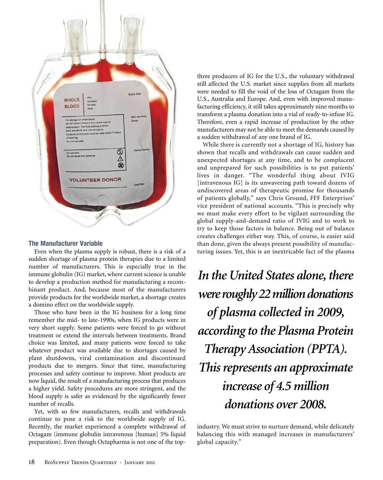

#### **The Manufacturer Variable**

Even when the plasma supply is robust, there is a risk of a sudden shortage of plasma protein therapies due to a limited number of manufacturers. This is especially true in the immune globulin (IG) market, where current science is unable to develop a production method for manufacturing a recombinant product. And, because most of the manufacturers provide products for the worldwide market, a shortage creates a domino effect on the worldwide supply.

Those who have been in the IG business for a long time remember the mid- to late-1990s, when IG products were in very short supply. Some patients were forced to go without treatment or extend the intervals between treatments. Brand choice was limited, and many patients were forced to take whatever product was available due to shortages caused by plant shutdowns, viral contamination and discontinued products due to mergers. Since that time, manufacturing processes and safety continue to improve. Most products are now liquid, the result of a manufacturing process that produces a higher yield. Safety procedures are more stringent, and the blood supply is safer as evidenced by the significantly fewer number of recalls.

Yet, with so few manufacturers, recalls and withdrawals continue to pose a risk to the worldwide supply of IG. Recently, the market experienced a complete withdrawal of Octagam (immune globulin intravenous [human] 5% liquid preparation). Even though Octapharma is not one of the topthree producers of IG for the U.S., the voluntary withdrawal still affected the U.S. market since supplies from all markets were needed to fill the void of the loss of Octagam from the U.S., Australia and Europe. And, even with improved manufacturing efficiency, it still takes approximately nine months to transform a plasma donation into a vial of ready-to-infuse IG. Therefore, even a rapid increase of production by the other manufacturers may not be able to meet the demands caused by a sudden withdrawal of any one brand of IG.

While there is currently not a shortage of IG, history has shown that recalls and withdrawals can cause sudden and unexpected shortages at any time, and to be complacent and unprepared for such possibilities is to put patients' lives in danger. "The wonderful thing about IVIG [intravenous IG] is its unwavering path toward dozens of undiscovered areas of therapeutic promise for thousands of patients globally," says Chris Ground, FFF Enterprises' vice president of national accounts. "This is precisely why we must make every effort to be vigilant surrounding the global supply-and-demand ratio of IVIG and to work to try to keep those factors in balance. Being out of balance creates challenges either way. This, of course, is easier said than done, given the always present possibility of manufacturing issues. Yet, this is an inextricable fact of the plasma

*In the United States alone, there were roughly 22 million donations of plasma collected in 2009, according to the Plasma Protein Therapy Association (PPTA). This represents an approximate increase of 4.5 million donations over 2008.*

industry. We must strive to nurture demand, while delicately balancing this with managed increases in manufacturers' global capacity."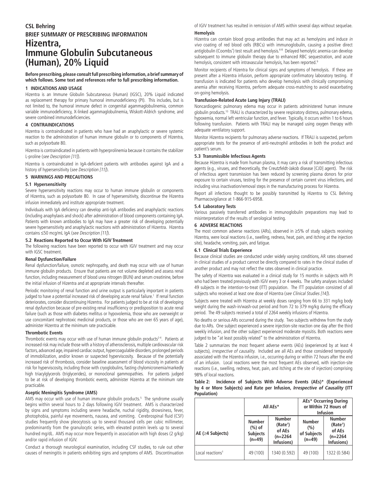#### **CSL Behring BRIEF SUMMARY OF PRESCRIBING INFORMATION Hizentra, Immune Globulin Subcutaneous (Human), 20% Liquid**

#### **Before prescribing, please consult full prescribing information, a brief summary of which follows. Some text and references refer to full prescribing information.**

#### **1 INDICATIONS AND USAGE**

Hizentra is an Immune Globulin Subcutaneous (Human) (IGSC), 20% Liquid indicated as replacement therapy for primary humoral immunodeficiency (PI). This includes, but is not limited to, the humoral immune defect in congenital agammaglobulinemia, common variable immunodeficiency, X-linked agammaglobulinemia, Wiskott-Aldrich syndrome, and severe combined immunodeficiencies.

#### **4 CONTRAINDICATIONS**

Hizentra is contraindicated in patients who have had an anaphylactic or severe systemic reaction to the administration of human immune globulin or to components of Hizentra, such as polysorbate 80.

Hizentra is contraindicated in patients with hyperprolinemia because it contains the stabilizer L-proline (see Description [11]).

Hizentra is contraindicated in IgA-deficient patients with antibodies against IgA and a history of hypersensitivity (see Description [11]).

#### **5 WARNINGS AND PRECAUTIONS**

#### **5.1 Hypersensitivity**

Severe hypersensitivity reactions may occur to human immune globulin or components of Hizentra, such as polysorbate 80. In case of hypersensitivity, discontinue the Hizentra infusion immediately and institute appropriate treatment.

Individuals with IgA deficiency can develop anti-IgA antibodies and anaphylactic reactions (including anaphylaxis and shock) after administration of blood components containing IgA. Patients with known antibodies to IgA may have a greater risk of developing potentially severe hypersensitivity and anaphylactic reactions with administration of Hizentra. Hizentra contains ≤50 mcg/mL IgA (see Description [11]).

#### **5.2 Reactions Reported to Occur With IGIV Treatment**

The following reactions have been reported to occur with IGIV treatment and may occur with IGSC treatment.

#### **Renal Dysfunction/Failure**

Renal dysfunction/failure, osmotic nephropathy, and death may occur with use of human immune globulin products. Ensure that patients are not volume depleted and assess renal function, including measurement of blood urea nitrogen (BUN) and serum creatinine, before the initial infusion of Hizentra and at appropriate intervals thereafter.

Periodic monitoring of renal function and urine output is particularly important in patients judged to have a potential increased risk of developing acute renal failure.<sup>1</sup> If renal function deteriorates, consider discontinuing Hizentra. For patients judged to be at risk of developing renal dysfunction because of pre-existing renal insufficiency or predisposition to acute renal failure (such as those with diabetes mellitus or hypovolemia, those who are overweight or use concomitant nephrotoxic medicinal products, or those who are over 65 years of age), administer Hizentra at the minimum rate practicable.

#### **Thrombotic Events**

Thrombotic events may occur with use of human immune globulin products<sup>2-4</sup>. Patients at increased risk may include those with a history of atherosclerosis, multiple cardiovascular risk factors, advanced age, impaired cardiac output, hypercoagulable disorders, prolonged periods of immobilization, and/or known or suspected hyperviscosity. Because of the potentially increased risk of thrombosis, consider baseline assessment of blood viscosity in patients at risk for hyperviscosity, including those with cryoglobulins, fasting chylomicronemia/markedly high triacylglycerols (triglycerides), or monoclonal gammopathies. For patients judged to be at risk of developing thrombotic events, administer Hizentra at the minimum rate practicable.

#### **Aseptic Meningitis Syndrome (AMS)**

AMS may occur with use of human immune globulin products.5 The syndrome usually begins within several hours to 2 days following IGIV treatment. AMS is characterized by signs and symptoms including severe headache, nuchal rigidity, drowsiness, fever, photophobia, painful eye movements, nausea, and vomiting. Cerebrospinal fluid (CSF) studies frequently show pleocytosis up to several thousand cells per cubic millimeter, predominantly from the granulocytic series, with elevated protein levels up to several hundred mg/dL. AMS may occur more frequently in association with high doses (2 g/kg) and/or rapid infusion of IGIV.

Conduct a thorough neurological examination, including CSF studies, to rule out other causes of meningitis in patients exhibiting signs and symptoms of AMS. Discontinuation of IGIV treatment has resulted in remission of AMS within several days without sequelae.

#### **Hemolysis**

Hizentra can contain blood group antibodies that may act as hemolysins and induce in vivo coating of red blood cells (RBCs) with immunoglobulin, causing a positive direct antiglobulin (Coombs') test result and hemolysis.<sup>6-8</sup> Delayed hemolytic anemia can develop subsequent to immune globulin therapy due to enhanced RBC sequestration, and acute hemolysis, consistent with intravascular hemolysis, has been reported.<sup>9</sup>

Monitor recipients of Hizentra for clinical signs and symptoms of hemolysis. If these are present after a Hizentra infusion, perform appropriate confirmatory laboratory testing. If transfusion is indicated for patients who develop hemolysis with clinically compromising anemia after receiving Hizentra, perform adequate cross-matching to avoid exacerbating on-going hemolysis.

#### **Transfusion-Related Acute Lung Injury (TRALI)**

Noncardiogenic pulmonary edema may occur in patients administered human immune globulin products.<sup>10</sup> TRALI is characterized by severe respiratory distress, pulmonary edema, hypoxemia, normal left ventricular function, and fever. Typically, it occurs within 1 to 6 hours following transfusion. Patients with TRALI may be managed using oxygen therapy with adequate ventilatory support.

Monitor Hizentra recipients for pulmonary adverse reactions. If TRALI is suspected, perform appropriate tests for the presence of anti-neutrophil antibodies in both the product and patient's serum.

#### **5.3 Transmissible Infectious Agents**

Because Hizentra is made from human plasma, it may carry a risk of transmitting infectious agents (e.g., viruses, and theoretically, the Creutzfeldt-Jakob disease [CJD] agent). The risk of infectious agent transmission has been reduced by screening plasma donors for prior exposure to certain viruses, testing for the presence of certain current virus infections, and including virus inactivation/removal steps in the manufacturing process for Hizentra.

Report all infections thought to be possibly transmitted by Hizentra to CSL Behring Pharmacovigilance at 1-866-915-6958.

#### **5.4 Laboratory Tests**

Various passively transferred antibodies in immunoglobulin preparations may lead to misinterpretation of the results of serological testing.

#### **6 ADVERSE REACTIONS**

The most common adverse reactions (ARs), observed in  $\geq$ 5% of study subjects receiving Hizentra, were local reactions (i.e., swelling, redness, heat, pain, and itching at the injection site), headache, vomiting, pain, and fatigue.

#### **6.1 Clinical Trials Experience**

Because clinical studies are conducted under widely varying conditions, AR rates observed in clinical studies of a product cannot be directly compared to rates in the clinical studies of another product and may not reflect the rates observed in clinical practice.

The safety of Hizentra was evaluated in a clinical study for 15 months in subjects with PI who had been treated previously with IGIV every 3 or 4 weeks. The safety analyses included 49 subjects in the intention-to-treat (ITT) population. The ITT population consisted of all subjects who received at least one dose of Hizentra (see Clinical Studies [14]).

Subjects were treated with Hizentra at weekly doses ranging from 66 to 331 mg/kg body weight during the wash-in/wash-out period and from 72 to 379 mg/kg during the efficacy period. The 49 subjects received a total of 2264 weekly infusions of Hizentra.

No deaths or serious ARs occurred during the study. Two subjects withdrew from the study due to ARs. One subject experienced a severe injection-site reaction one day after the third weekly infusion, and the other subject experienced moderate myositis. Both reactions were judged to be "at least possibly related" to the administration of Hizentra.

Table 2 summarizes the most frequent adverse events (AEs) (experienced by at least 4 subjects), irrespective of causality. Included are all AEs and those considered temporally associated with the Hizentra infusion, i.e., occurring during or within 72 hours after the end of an infusion. Local reactions were the most frequent AEs observed, with injection-site reactions (i.e., swelling, redness, heat, pain, and itching at the site of injection) comprising 98% of local reactions.

|             |  |  |  |  |  | Table 2: Incidence of Subjects With Adverse Events (AEs)* (Experienced              |
|-------------|--|--|--|--|--|-------------------------------------------------------------------------------------|
|             |  |  |  |  |  | by 4 or More Subjects) and Rate per Infusion, <i>Irrespective of Causality</i> (ITT |
| Population) |  |  |  |  |  |                                                                                     |

|                              |                                                           | All AEs*                                                                    | <b>AEs* Occurring During</b><br>or Within 72 Hours of<br><b>Infusion</b> |                                                                             |  |
|------------------------------|-----------------------------------------------------------|-----------------------------------------------------------------------------|--------------------------------------------------------------------------|-----------------------------------------------------------------------------|--|
| AE ( $\geq$ 4 Subjects)      | <b>Number</b><br>$(\%)$ of<br><b>Subjects</b><br>$(n=49)$ | <b>Number</b><br>(Rate <sup>†</sup> )<br>of AEs<br>$(n=2264)$<br>Infusions) | <b>Number</b><br>(%)<br>of Subjects<br>$(n=49)$                          | <b>Number</b><br>(Rate <sup>†</sup> )<br>of AEs<br>$(n=2264)$<br>Infusions) |  |
| Local reactions <sup>#</sup> | 49 (100)                                                  | 1340 (0.592)                                                                | 49 (100)                                                                 | 1322 (0.584)                                                                |  |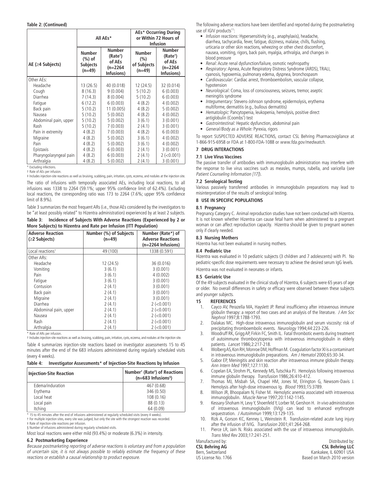|                         |                                                 | All AEs*                                                                    | AEs* Occurring During<br>or Within 72 Hours of<br><b>Infusion</b> |                                                                             |  |  |
|-------------------------|-------------------------------------------------|-----------------------------------------------------------------------------|-------------------------------------------------------------------|-----------------------------------------------------------------------------|--|--|
| AE ( $\geq$ 4 Subjects) | <b>Number</b><br>(%) of<br>Subjects<br>$(n=49)$ | <b>Number</b><br>(Rate <sup>+</sup> )<br>of AEs<br>$(n=2264)$<br>Infusions) | <b>Number</b><br>(%)<br>of Subjects<br>$(n=49)$                   | <b>Number</b><br>(Rate <sup>+</sup> )<br>of AEs<br>$(n=2264)$<br>Infusions) |  |  |
| Other AEs:              |                                                 |                                                                             |                                                                   |                                                                             |  |  |
| Headache                | 13 (26.5)                                       | 40 (0.018)                                                                  | 12(24.5)                                                          | 32 (0.014)                                                                  |  |  |
| Cough                   | 8(16.3)                                         | 9(0.004)                                                                    | 5(10.2)                                                           | 6(0.003)                                                                    |  |  |
| Diarrhea                | 7(14.3)                                         | 8(0.004)                                                                    | 5(10.2)                                                           | 6(0.003)                                                                    |  |  |
| Fatique                 | 6(12.2)                                         | 6(0.003)                                                                    | 4(8.2)                                                            | 4(0.002)                                                                    |  |  |
| Back pain               | 5(10.2)                                         | 11 (0.005)                                                                  | 4(8.2)                                                            | 5(0.002)                                                                    |  |  |
| Nausea                  | 5(10.2)                                         | 5(0.002)                                                                    | 4(8.2)                                                            | 4(0.002)                                                                    |  |  |
| Abdominal pain, upper   | 5(10.2)                                         | 5(0.002)                                                                    | 3(6.1)                                                            | 3(0.001)                                                                    |  |  |
| Rash                    | 5(10.2)                                         | 7(0.003)                                                                    | 2(4.1)                                                            | 3(0.001)                                                                    |  |  |
| Pain in extremity       | 4(8.2)                                          | 7(0.003)                                                                    | 4(8.2)                                                            | 6(0.003)                                                                    |  |  |
| Migraine                | 4(8.2)                                          | 5(0.002)                                                                    | 3(6.1)                                                            | 4(0.002)                                                                    |  |  |
| Pain                    | 4(8.2)                                          | 5(0.002)                                                                    | 3(6.1)                                                            | 4(0.002)                                                                    |  |  |
| Epistaxis               | 4(8.2)                                          | 6(0.003)                                                                    | 2(4.1)                                                            | 3(0.001)                                                                    |  |  |
| Pharyngolaryngeal pain  | 4(8.2)                                          | 6(0.003)                                                                    | 2(4.1)                                                            | $2$ ( $<$ 0.001)                                                            |  |  |
| Arthralgia              | 4(8.2)                                          | 5(0.002)                                                                    | 2(4.1)                                                            | 3(0.001)                                                                    |  |  |

\* Excluding infections. † Rate of AEs per infusion.

‡ Includes injection-site reactions as well as bruising, scabbing, pain, irritation, cysts, eczema, and nodules at the injection site.

The ratio of infusions with temporally associated AEs, including local reactions, to all infusions was 1338 to 2264 (59.1%; upper 95% confidence limit of 62.4%). Excluding local reactions, the corresponding ratio was 173 to 2264 (7.6%; upper 95% confidence limit of 8.9%).

Table 3 summarizes the most frequent ARs (i.e., those AEs considered by the investigators to be "at least possibly related" to Hizentra administration) experienced by at least 2 subjects.

| Table 3: |  |                                                                   | Incidence of Subjects With Adverse Reactions (Experienced by 2 or |  |
|----------|--|-------------------------------------------------------------------|-------------------------------------------------------------------|--|
|          |  | More Subjects) to Hizentra and Rate per Infusion (ITT Population) |                                                                   |  |

| <b>Adverse Reaction</b>      | Number (%) of Subjects | Number (Rate*) of        |
|------------------------------|------------------------|--------------------------|
| (≥2 Subjects)                | $(n=49)$               | <b>Adverse Reactions</b> |
|                              |                        | $(n=2264$ Infusions)     |
| Local reactions <sup>+</sup> | 49 (100)               | 1338 (0.591)             |
| Other ARs:                   |                        |                          |
| Headache                     | 12 (24.5)              | 36 (0.016)               |
| Vomiting                     | 3(6.1)                 | 3(0.001)                 |
| Pain                         | 3(6.1)                 | 4(0.002)                 |
| Fatigue                      | 3(6.1)                 | 3(0.001)                 |
| Contusion                    | 2(4.1)                 | 3(0.001)                 |
| Back pain                    | 2(4.1)                 | 3(0.001)                 |
| Migraine                     | 2(4.1)                 | 3(0.001)                 |
| Diarrhea                     | 2(4.1)                 | $2$ ( $<$ 0.001)         |
| Abdominal pain, upper        | 2(4.1)                 | $2$ ( $<$ 0.001)         |
| Nausea                       | 2(4.1)                 | $2$ ( $<$ 0.001)         |
| Rash                         | 2(4.1)                 | $2 (-0.001)$             |
| Arthralgia                   | 2(4.1)                 | $2$ (<0.001)             |

\* Rate of ARs per infusion.

† Includes injection-site reactions as well as bruising, scabbing, pain, irritation, cysts, eczema, and nodules at the injection site.

Table 4 summarizes injection-site reactions based on investigator assessments 15 to 45 minutes after the end of the 683 infusions administered during regularly scheduled visits (every 4 weeks).

| Table 4: | Investigator Assessments* of Injection-Site Reactions by Infusion |  |  |  |  |  |
|----------|-------------------------------------------------------------------|--|--|--|--|--|
|----------|-------------------------------------------------------------------|--|--|--|--|--|

| Injection-Site Reaction | Number <sup>†</sup> (Rate <sup>‡</sup> ) of Reactions<br>$(n=683$ Infusions <sup>§</sup> ) |
|-------------------------|--------------------------------------------------------------------------------------------|
| Edema/induration        | 467 (0.68)                                                                                 |
| Erythema                | 346 (0.50)                                                                                 |
| Local heat              | 108(0.16)                                                                                  |
| Local pain              | 88 (0.13)                                                                                  |
| Itchina                 | 64 (0.09)                                                                                  |

\* 15 to 45 minutes after the end of infusions administered at regularly scheduled visits (every 4 weeks).

† For multiple injection sites, every site was judged, but only the site with the strongest reaction was recorded.

‡ Rate of injection-site reactions per infusion. § Number of infusions administered during regularly scheduled visits.

Most local reactions were either mild (93.4%) or moderate (6.3%) in intensity.

#### **6.2 Postmarketing Experience**

Because postmarketing reporting of adverse reactions is voluntary and from a population of uncertain size, it is not always possible to reliably estimate the frequency of these reactions or establish a causal relationship to product exposure.

The following adverse reactions have been identified and reported during the postmarketing use of IGIV products<sup>11</sup>:

- Infusion reactions: Hypersensitivity (e.g., anaphylaxis), headache, diarrhea, tachycardia, fever, fatigue, dizziness, malaise, chills, flushing, urticaria or other skin reactions, wheezing or other chest discomfort, nausea, vomiting, rigors, back pain, myalgia, arthralgia, and changes in blood pressure
- Renal: Acute renal dysfunction/failure, osmotic nephropathy
- Respiratory: Apnea, Acute Respiratory Distress Syndrome (ARDS), TRALI, cyanosis, hypoxemia, pulmonary edema, dyspnea, bronchospasm
- Cardiovascular: Cardiac arrest, thromboembolism, vascular collapse, hypotension
- Neurological: Coma, loss of consciousness, seizures, tremor, aseptic meningitis syndrome
- Integumentary: Stevens-Johnson syndrome, epidermolysis, erythema multiforme, dermatitis (e.g., bullous dermatitis)
- Hematologic: Pancytopenia, leukopenia, hemolysis, positive direct antiglobulin (Coombs') test
- Gastrointestinal: Hepatic dysfunction, abdominal pain
- General/Body as a Whole: Pyrexia, rigors

To report SUSPECTED ADVERSE REACTIONS, contact CSL Behring Pharmacovigilance at 1-866-915-6958 or FDA at 1-800-FDA-1088 or www.fda.gov/medwatch.

#### **7 DRUG INTERACTIONS**

#### **7.1 Live Virus Vaccines**

The passive transfer of antibodies with immunoglobulin administration may interfere with the response to live virus vaccines such as measles, mumps, rubella, and varicella (see Patient Counseling Information [17]).

#### **7.2 Serological Testing**

Various passively transferred antibodies in immunoglobulin preparations may lead to misinterpretation of the results of serological testing.

#### **8 USE IN SPECIFIC POPULATIONS**

#### **8.1 Pregnancy**

Pregnancy Category C. Animal reproduction studies have not been conducted with Hizentra. It is not known whether Hizentra can cause fetal harm when administered to a pregnant woman or can affect reproduction capacity. Hizentra should be given to pregnant women only if clearly needed.

#### **8.3 Nursing Mothers**

Hizentra has not been evaluated in nursing mothers.

#### **8.4 Pediatric Use**

Hizentra was evaluated in 10 pediatric subjects (3 children and 7 adolescents) with PI. No pediatric-specific dose requirements were necessary to achieve the desired serum IgG levels.

Hizentra was not evaluated in neonates or infants.

#### **8.5 Geriatric Use**

Of the 49 subjects evaluated in the clinical study of Hizentra, 6 subjects were 65 years of age or older. No overall differences in safety or efficacy were observed between these subjects and younger subjects.

#### **15 REFERENCES**

- Cayco AV, Perazella MA, Hayslett JP. Renal insufficiency after intravenous immune globulin therapy: a report of two cases and an analysis of the literature. J Am Soc Nephrol 1997;8:1788-1793.
- 2. Dalakas MC. High-dose intravenous immunoglobulin and serum viscosity: risk of precipitating thromboembolic events. Neurology 1994;44:223-226.
- 3. Woodruff RK, Grigg AP, Firkin FC, Smith IL. Fatal thrombotic events during treatment of autoimmune thrombocytopenia with intravenous immunoglobulin in elderly patients. Lancet 1986;2:217-218.
- 4. Wolberg AS, Kon RH, Monroe DM, Hoffman M. Coagulation factor XI is a contaminant in intravenous immunoglobulin preparations. Am J Hematol 2000;65:30-34.
- 5. Gabor EP, Meningitis and skin reaction after intravenous immune globulin therapy. Ann Intern Med 1997;127:1130.
- 6. Copelan EA, Strohm PL, Kennedy MS, Tutschka PJ. Hemolysis following intravenous immune globulin therapy. Transfusion 1986;26:410-412.
- 7. Thomas MJ, Misbah SA, Chapel HM, Jones M, Elrington G, Newsom-Davis J. Hemolysis after high-dose intravenous Ig. Blood 1993;15:3789.
- 8. Wilson JR, Bhoopalam N, Fisher M. Hemolytic anemia associated with intravenous immunoglobulin. Muscle Nerve 1997;20:1142-1145.
- 9. Kessary-Shoham H, Levy Y, Shoenfeld Y, Lorber M, Gershon H. In vivo administration of intravenous immunoglobulin (IVIg) can lead to enhanced erythrocyte sequestration. J Autoimmun 1999;13:129-135.
- 10. Rizk A, Gorson KC, Kenney L, Weinstein R. Transfusion-related acute lung injury after the infusion of IVIG. Transfusion 2001;41:264-268.
- 11. Pierce LR, Jain N. Risks associated with the use of intravenous immunoglobulin. Trans Med Rev 2003;17:241-251.

Manufactured by: Distributed by:<br> **CSL Behring AG** CSL Behring LLC **CSL Behring LLC** Bern, Switzerland Communisties and the Communisties of the Kankakee, IL 60901 USA<br>
US License No. 1766 Communisties and the Based on March 2010 version Based on March 2010 version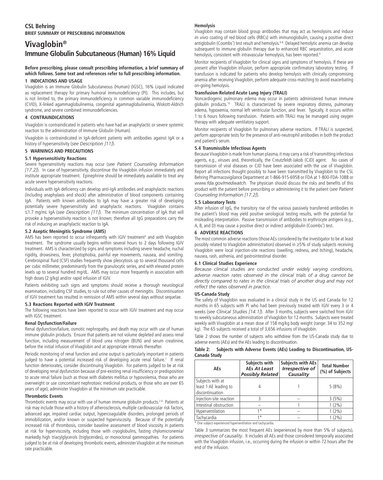### **Vivaglobin® Immune Globulin Subcutaneous (Human) 16% Liquid**

#### **Before prescribing, please consult prescribing information, a brief summary of which follows. Some text and references refer to full prescribing information.**

#### **1 INDICATIONS AND USAGE**

Vivaglobin is an Immune Globulin Subcutaneous (Human) (IGSC), 16% Liquid indicated as replacement therapy for primary humoral immunodeficiency (PI). This includes, but is not limited to, the primary immunodeficiency in common variable immunodeficiency (CVID), X-linked agammaglobulinemia, congenital agammaglobulinemia, Wiskott-Aldrich syndrome, and severe combined immunodeficiencies.

#### **4 CONTRAINDICATIONS**

Vivaglobin is contraindicated in patients who have had an anaphylactic or severe systemic reaction to the administration of Immune Globulin (Human).

Vivaglobin is contraindicated in IgA-deficient patients with antibodies against IgA or a history of hypersensitivity (*see Description [11]*).

#### **5 WARNINGS AND PRECAUTIONS**

#### **5.1 Hypersensitivity Reactions**

Severe hypersensitivity reactions may occur (*see Patient Counseling Information [17.2]*). In case of hypersensitivity, discontinue the Vivaglobin infusion immediately and institute appropriate treatment. Epinephrine should be immediately available to treat any acute severe hypersensitivity reactions.

Individuals with IgA deficiency can develop anti-IgA antibodies and anaphylactic reactions (including anaphylaxis and shock) after administration of blood components containing IgA. Patients with known antibodies to IgA may have a greater risk of developing potentially severe hypersensitivity and anaphylactic reactions. Vivaglobin contains  $\leq$ 1.7 mg/mL IgA (see *Description [11]*). The minimum concentration of IgA that will provoke a hypersensitivity reaction is not known; therefore all IgG preparations carry the risk of inducing an anaphylactic reaction to IgA.

#### **5.2 Aseptic Meningitis Syndrome (AMS)**

AMS has been reported to occur infrequently with IGIV treatment<sup>5</sup> and with Vivaglobin treatment. The syndrome usually begins within several hours to 2 days following IGIV treatment. AMS is characterized by signs and symptoms including severe headache, nuchal rigidity, drowsiness, fever, photophobia, painful eye movements, nausea, and vomiting. Cerebrospinal fluid (CSF) studies frequently show pleocytosis up to several thousand cells per cubic millimeter, predominantly from the granulocytic series, and with elevated protein levels up to several hundred mg/dL. AMS may occur more frequently in association with high doses (2 g/kg) and/or rapid infusion of IGIV.

Patients exhibiting such signs and symptoms should receive a thorough neurological examination, including CSF studies, to rule out other causes of meningitis. Discontinuation of IGIV treatment has resulted in remission of AMS within several days without sequelae.

#### **5.3 Reactions Reported with IGIV Treatment**

The following reactions have been reported to occur with IGIV treatment and may occur with IGSC treatment.

#### **Renal Dysfunction/Failure**

Renal dysfunction/failure, osmotic nephropathy, and death may occur with use of human immune globulin products. Ensure that patients are not volume depleted and assess renal function, including measurement of blood urea nitrogen (BUN) and serum creatinine, before the initial infusion of Vivaglobin and at appropriate intervals thereafter.

Periodic monitoring of renal function and urine output is particularly important in patients judged to have a potential increased risk of developing acute renal failure.<sup>1</sup> If renal function deteriorates, consider discontinuing Vivaglobin. For patients judged to be at risk of developing renal dysfunction because of pre-existing renal insufficiency or predisposition to acute renal failure (such as those with diabetes mellitus or hypovolemia, those who are overweight or use concomitant nephrotoxic medicinal products, or those who are over 65 years of age), administer Vivaglobin at the minimum rate practicable.

#### **Thrombotic Events**

Thrombotic events may occur with use of human immune globulin products.<sup>2-4</sup> Patients at risk may include those with a history of atherosclerosis, multiple cardiovascular risk factors, advanced age, impaired cardiac output, hypercoagulable disorders, prolonged periods of immobilization, and/or known or suspected hyperviscosity. Because of the potentially increased risk of thrombosis, consider baseline assessment of blood viscosity in patients at risk for hyperviscosity, including those with cryoglobulins, fasting chylomicronemia/ markedly high triacylglycerols (triglycerides), or monoclonal gammopathies. For patients judged to be at risk of developing thrombotic events, administer Vivaglobin at the minimum rate practicable.

#### **Hemolysis**

Vivaglobin may contain blood group antibodies that may act as hemolysins and induce *in vivo* coating of red blood cells (RBCs) with immunoglobulin, causing a positive direct antiglobulin (Coombs') test result and hemolysis.<sup>6-8</sup> Delayed hemolytic anemia can develop subsequent to immune globulin therapy due to enhanced RBC sequestration, and acute hemolysis, consistent with intravascular hemoylysis, has been reported.<sup>9</sup>

Monitor recipients of Vivaglobin for clinical signs and symptoms of hemolysis. If these are present after Vivaglobin infusion, perform appropriate confirmatory laboratory testing. If transfusion is indicated for patients who develop hemolysis with clinically compromising anemia after receiving Vivaglobin, perform adequate cross-matching to avoid exacerbating on-going hemolysis.

#### **Transfusion-Related Acute Lung Injury (TRALI)**

Noncardiogenic pulmonary edema may occur in patients administered human immune globulin products.<sup>10</sup> TRALI is characterized by severe respiratory distress, pulmonary edema, hypoxemia, normal left ventricular function, and fever. Typically, it occurs within 1 to 6 hours following transfusion. Patients with TRALI may be managed using oxygen therapy with adequate ventilatory support.

Monitor recipients of Vivaglobin for pulmonary adverse reactions. If TRALI is suspected, perform appropriate tests for the presence of anti-neutrophil antibodies in both the product and patient's serum.

#### **5.4 Transmissible Infectious Agents**

Because Vivaglobin is made from human plasma, it may carry a risk of transmitting infectious agents, e.g., viruses and, theoretically, the Creutzfeldt-Jakob (CJD) agent. No cases of transmission of viral diseases or CJD have been associated with the use of Vivaglobin. Report all infections thought possibly to have been transmitted by Vivaglobin to the CSL Behring Pharmacovigilance Department at 1-866-915-6958 or FDA at 1-800-FDA-1088 or *www.fda.gov/medwatch*. The physician should discuss the risks and benefits of this product with the patient before prescribing or administering it to the patient (*see Patient Counseling Information [17.2]*).

#### **5.5 Laboratory Tests**

After infusion of IgG, the transitory rise of the various passively transferred antibodies in the patient's blood may yield positive serological testing results, with the potential for misleading interpretation. Passive transmission of antibodies to erythrocyte antigens (e.g., A, B, and D) may cause a positive direct or indirect antiglobulin (Coombs') test.

#### **6 ADVERSE REACTIONS**

The most common adverse reactions (those AEs considered by the investigator to be at least possibly related to Vivaglobin administration) observed in  $\geq$ 5% of study subjects receiving Vivaglobin were local injection-site reactions (swelling, redness, and itching), headache, nausea, rash, asthenia, and gastrointestinal disorder.

#### **6.1 Clinical Studies Experience**

*Because clinical studies are conducted under widely varying conditions,*  adverse reaction rates observed in the clinical trials of a drug cannot be *directly compared to rates in the clinical trials of another drug and may not reflect the rates observed in practice.* 

#### **US-Canada Study**

The safety of Vivaglobin was evaluated in a clinical study in the US and Canada for 12 months in 65 subjects with PI who had been previously treated with IGIV every 3 or 4 weeks (*see Clinical Studies [14.1]*). After 3 months, subjects were switched from IGIV to weekly subcutaneous administration of Vivaglobin for 12 months. Subjects were treated weekly with Vivaglobin at a mean dose of 158 mg/kg body weight (range: 34 to 352 mg/ kg). The 65 subjects received a total of 3,656 infusions of Vivaglobin.

Table 2 shows the number of subjects who withdrew from the US-Canada study due to adverse events (AEs) and the AEs leading to discontinuation.

#### **Table 2: Subjects with Adverse Events (AEs) Leading to Discontinuation, US-Canada Study**

| <b>AEs</b>                                                   | Subjects with<br>AEs At Least<br><b>Possibly Related</b> | <b>Subjects with AEs</b><br><b>Irrespective of</b><br>Causality | <b>Total Number</b><br>(%) of Subjects |  |
|--------------------------------------------------------------|----------------------------------------------------------|-----------------------------------------------------------------|----------------------------------------|--|
| Subjects with at<br>least 1 AE leading to<br>discontinuation |                                                          |                                                                 | 5(8%)                                  |  |
| Injection-site reaction                                      |                                                          |                                                                 | 3(5%)                                  |  |
| Intestinal obstruction                                       |                                                          |                                                                 | $1(2\%)$                               |  |
| Hyperventilation                                             | $1 *$                                                    |                                                                 | $1(2\%)$                               |  |
| Tachycardia                                                  | $1 *$                                                    |                                                                 | $1(2\%)$                               |  |

\* One subject experienced hyperventilation and tachycardia.

Table 3 summarizes the most frequent AEs (experienced by more than 5% of subjects), *irrespective of causality*. It includes all AEs and those considered temporally associated with the Vivaglobin infusion, i.e., occurring during the infusion or within 72 hours after the end of the infusion.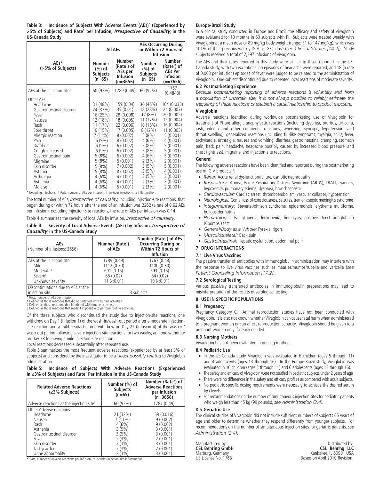**Table 3: Incidence of Subjects With Adverse Events (AEs)\* (Experienced by >5% of Subjects) and Rate† per Infusion,** *Irrespective of Causality***, in the US-Canada Study**

|                                                                                                                                                                                                                                                               |                                                                                                                                                                              | <b>All AEs</b>                                                                                                                                                                                                       | <b>AEs Occurring During</b><br>or Within 72 Hours of<br><b>Infusion</b>                                                                                                 |                                                                                                                                                                                                                       |  |
|---------------------------------------------------------------------------------------------------------------------------------------------------------------------------------------------------------------------------------------------------------------|------------------------------------------------------------------------------------------------------------------------------------------------------------------------------|----------------------------------------------------------------------------------------------------------------------------------------------------------------------------------------------------------------------|-------------------------------------------------------------------------------------------------------------------------------------------------------------------------|-----------------------------------------------------------------------------------------------------------------------------------------------------------------------------------------------------------------------|--|
| $AEs*$<br>(>5% of Subjects)                                                                                                                                                                                                                                   | <b>Number</b><br>(%) of<br><b>Subjects</b><br>$(n=65)$                                                                                                                       | <b>Number</b><br>(Rate <sup>†</sup> ) of<br>AEs per<br><b>Infusion</b><br>(n=3656)                                                                                                                                   | <b>Number</b><br>$(\%)$ of<br>Subjects<br>$(n=65)$                                                                                                                      | <b>Number</b><br>(Rate†) of<br><b>AEs Per</b><br><b>Infusion</b><br>$(n=3656)$                                                                                                                                        |  |
| AEs at the injection site <sup>#</sup>                                                                                                                                                                                                                        | 60 (92%)                                                                                                                                                                     | 1789 (0.49)                                                                                                                                                                                                          | 60 (92%)                                                                                                                                                                | 1767<br>(0.4848)                                                                                                                                                                                                      |  |
| Other AFs<br>Headache<br>Gastrointestinal disorder<br>Fever<br>Nausea<br>Rash<br>Sore throat<br>Allergic reaction<br>Pain<br>Diarrhea<br>Cough increased<br>Gastrointestinal pain<br>Migraine<br>Skin disorder<br>Asthma<br>Arthralgia<br>Asthenia<br>Malaise | 31 (48%)<br>24 (37%)<br>16 (25%)<br>12 (18%)<br>11 (17%)<br>10 (15%)<br>$7(11\%)$<br>6(9%)<br>6(9%)<br>6(9%)<br>5(8%)<br>5(8%)<br>5(8%)<br>5(8%)<br>4(6%)<br>4(6%)<br>4 (6%) | 159 (0.04)<br>35 (0.01)<br>28 (0.008)<br>18 (0.005)<br>22 (0.006)<br>17 (0.005)<br>8(0.002)<br>8(0.002)<br>6(0.002)<br>6(0.002)<br>6(0.002)<br>5(0.001)<br>7 (0.002)<br>8(0.002)<br>4(0.001)<br>4(0.001)<br>5(0.001) | 30 (46%)<br>18 (28%)<br>12 (8%)<br>11 (17%)<br>10 (15%)<br>$8(12\%)$<br>5(8%)<br>4(6%)<br>5(8%)<br>5(8%)<br>4(6%)<br>2(3%)<br>3(5%)<br>3(5%)<br>3(5%)<br>2(3%)<br>2(3%) | 104 (0.033)<br>24 (0.007)<br>20 (0.005)<br>15 (0.004)<br>16 (0.004)<br>11 (0.003)<br>5(0.001)<br>4(0.001)<br>5(0.001)<br>5(0.001)<br>5(0.001)<br>2(0.001)<br>5(0.001)<br>4(0.001)<br>3(0.001)<br>2(0.001)<br>2(0.001) |  |

\* Excluding infections. † Rate, number of AEs per infusion. ‡ Includes injection-site inflammation.

The total number of AEs, *irrespective of causality,* including injection-site reactions, that began during or within 72 hours after the end of an infusion was 2262 (a rate of 0.62 AEs per infusion); excluding injection-site reactions, the rate of AEs per infusion was 0.14.

Table 4 summarizes the severity of local AEs by infusion, *irrespective of causality*.

**Table 4: Severity of Local Adverse Events (AEs) by Infusion,** *Irrespective of Causality***,in the US-Canada Study**

| AEs<br>(Number of infusions: 3656)                                                                                  | Number (Rate <sup>*</sup> )<br>of AEs | Number (Rate <sup>*</sup> ) of AEs<br><b>Occurring During or</b><br>Within 72 Hours of<br><b>Infusion</b> |
|---------------------------------------------------------------------------------------------------------------------|---------------------------------------|-----------------------------------------------------------------------------------------------------------|
| AEs at the injection site<br>$Mild^{\dagger}$                                                                       | 1789 (0.49)<br>1112 (0.30)            | 1767 (0.48)<br>1100 (0.30)                                                                                |
| Moderate <sup>#</sup>                                                                                               | 601 (0.16)                            | 593 (0.16)                                                                                                |
| Severe <sup>§</sup>                                                                                                 | 65 (0.02)                             | 64 (0.02)                                                                                                 |
| Unknown severity<br>Discontinuations due to AEs at the                                                              | 11 (< 0.01)                           | $10$ ( $<$ 0.01)                                                                                          |
| injection site                                                                                                      |                                       | 3 subjects                                                                                                |
| * Rate, number of AEs per infusion.<br>† Defined as those reactions that did not interfere with routine activities. |                                       |                                                                                                           |

‡ Defined as those reactions that interfered with routine activities. § Defined as those reactions that made it impossible to perform routine activities.

Of the three subjects who discontinued the study due to injection-site reactions, one withdrew on Day 1 (Infusion 1) of the wash-in/wash-out period after a moderate injectionsite reaction and a mild headache; one withdrew on Day 22 (Infusion 4) of the wash-in/ wash-out period following severe injection-site reactions for two weeks; and one withdrew on Day 78 following a mild injection-site reaction.

Local reactions decreased substantially after repeated use.

Table 5 summarizes the most frequent adverse reactions (experienced by at least 3% of subjects) and considered by the investigator to be *at least possibly related* to Vivaglobin administration.

#### **Table 5: Incidence of Subjects With Adverse Reactions (Experienced in** r**3% of Subjects) and Rate\* Per Infusion in the US-Canada Study**

| <b>Related Adverse Reactions</b><br>$(\geq)3\%$ Subjects)                                                                                                    | Number (%) of<br><b>Subjects</b><br>$(n=65)$                                         | Number (Rate <sup>*</sup> ) of<br><b>Adverse Reactions</b><br>per Infusion<br>$(n=3656)$                   |
|--------------------------------------------------------------------------------------------------------------------------------------------------------------|--------------------------------------------------------------------------------------|------------------------------------------------------------------------------------------------------------|
| Adverse reactions at the injection site <sup>+</sup>                                                                                                         | 60 (92%)                                                                             | 1787 (0.49)                                                                                                |
| Other Adverse reactions<br>Headache<br>Nausea<br>Rash<br>Asthenia<br>Gastrointestinal disorder<br>Fever<br>Skin disorder<br>Tachycardia<br>Urine abnormality | 21 (32%)<br>$7(11\%)$<br>4(6%)<br>3(5%)<br>3(5%)<br>2(3%)<br>2(3%)<br>2(3%)<br>2(3%) | 59 (0.016)<br>9(0.002)<br>9(0.002)<br>3(0.001)<br>3(0.001)<br>2(0.001)<br>3(0.001)<br>2(0.001)<br>3(0.001) |

**\*** Rate, number of adverse reactions per infusion. † Includes injection-site inflammation.

#### **Europe-Brazil Study**

In a clinical study conducted in Europe and Brazil, the efficacy and safety of Vivaglobin were evaluated for 10 months in 60 subjects with PI. Subjects were treated weekly with Vivaglobin at a mean dose of 89 mg/kg body weight (range: 51 to 147 mg/kg), which was 101% of their previous weekly IGIV or IGSC dose (*see Clinical Studies [14.2]*). Study subjects received a total of 2,297 infusions of Vivaglobin.

The AEs and their rates reported in this study were similar to those reported in the US-Canada study, with two exceptions: no episodes of headache were reported; and 18 (a rate of 0.008 per infusion) episodes of fever were judged to be related to the administration of Vivaglobin. One subject discontinued due to repeated local reactions of moderate severity.

#### **6.2 Postmarketing Experience**

*Because postmarketing reporting of adverse reactions is voluntary and from a population of uncertain size, it is not always possible to reliably estimate the frequency of these reactions or establish a causal relationship to product exposure.*

#### **Vivaglobin**

Adverse reactions identified during worldwide postmarketing use of Vivaglobin for treatment of PI are allergic-anaphylactic reactions (including dyspnea, pruritus, urticaria, rash, edema and other cutaneous reactions, wheezing, syncope, hypotension, and throat swelling), generalized reactions (including flu-like symptoms, myalgia, chills, fever, tachycardia, arthralgia, nausea and vomiting, diarrhea, gastrointestinal cramping, stomach pain, back pain, headache, headache possibly caused by increased blood pressure, and chest tightness), migraine, and injection-site reactions.

#### **General**

The following adverse reactions have been identified and reported during the postmarketing use of IGIV products<sup>11</sup>:

- *Renal:* Acute renal dysfunction/failure, osmotic nephropathy
- v *Respiratory:* Apnea, Acute Respiratory Distress Syndrome (ARDS), TRALI, cyanosis, hypoxemia, pulmonary edema, dyspnea, bronchospasm
- *Cardiovascular: Cardiac arrest, thromboembolism, vascular collapse, hypotension*
- *Neurological:* Coma, loss of consciousness, seizures, tremor, aseptic meningitis syndrome
- *Integumentary:* Stevens-Johnson syndrome, epidermolysis, erythema multiforme, bullous dermatitis
- v *Hematologic:* Pancytopenia, leukopenia, hemolysis, positive direct antiglobulin (Coombs') test
- v *General/Body as a Whole:* Pyrexia, rigors
- v *Musculoskeletal:* Back pain
- v *Gastrointestinal:* Hepatic dysfunction, abdominal pain

#### **7 DRUG INTERACTIONS**

#### **7.1 Live Virus Vaccines**

The passive transfer of antibodies with immunoglobulin administration may interfere with the response to live virus vaccines such as measles/mumps/rubella and varicella (*see Patient Counseling Information [17.2]*).

#### **7.2 Serological Testing**

Various passively transferred antibodies in immunoglobulin preparations may lead to misinterpretation of the results of serological testing.

#### **8 USE IN SPECIFIC POPULATIONS**

#### **8.1 Pregnancy**

Pregnancy Category C.Animal reproduction studies have not been conducted with Vivaglobin. It is also not known whether Vivaglobin can cause fetal harm when administered to a pregnant woman or can affect reproduction capacity. Vivaglobin should be given to a pregnant woman only if clearly needed.

#### **8.3 Nursing Mothers**

Vivaglobin has not been evaluated in nursing mothers.

#### **8.4 Pediatric Use**

- In the US-Canada study, Vivaglobin was evaluated in 6 children (ages 5 through 11) and 4 adolescents (ages 13 through 16). In the Europe-Brazil study, Vivaglobin was evaluated in 16 children (ages 3 through 11) and 6 adolescents (ages 13 through 16).
- The safety and efficacy of Vivaglobin were not studied in pediatric subjects under 2 years of age.
- There were no differences in the safety and efficacy profiles as compared with adult subjects.
- No pediatric-specific dosing requirements were necessary to achieve the desired serum IgG levels.
- For recommendations on the number of simultaneous injection sites for pediatric patients who weigh less than 45 kg (99 pounds), *see Administration (2.4)*.

#### **8.5 Geriatric Use**

The clinical studies of Vivaglobin did not include sufficient numbers of subjects 65 years of age and older to determine whether they respond differently from younger subjects. For recommendations on the number of simultaneous injection sites for geriatric patients, see *Administration (2.4)*.

Manufactured by: Distributed by:<br>
CSL Behring GmbH CSL Behring LLC **CSL Behring GmbH CSL Behring LLC** Marburg, Germany Kankakee, IL 60901 USA US License No. 1765 Based on April 2010 Revision.